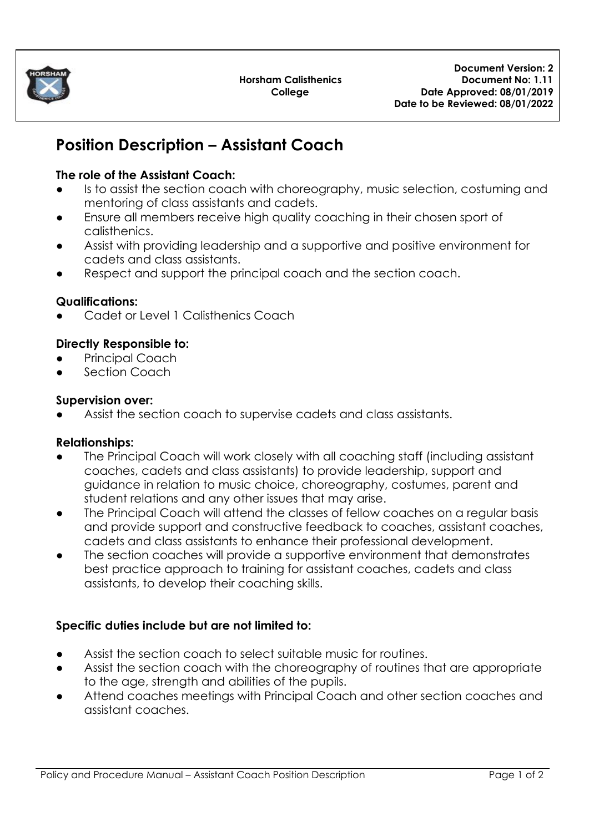

# **Position Description – Assistant Coach**

## **The role of the Assistant Coach:**

- Is to assist the section coach with choreography, music selection, costuming and mentoring of class assistants and cadets.
- Ensure all members receive high quality coaching in their chosen sport of calisthenics.
- Assist with providing leadership and a supportive and positive environment for cadets and class assistants.
- Respect and support the principal coach and the section coach.

### **Qualifications:**

Cadet or Level 1 Calisthenics Coach

### **Directly Responsible to:**

- Principal Coach
- Section Coach

### **Supervision over:**

Assist the section coach to supervise cadets and class assistants.

### **Relationships:**

- The Principal Coach will work closely with all coaching staff (including assistant coaches, cadets and class assistants) to provide leadership, support and guidance in relation to music choice, choreography, costumes, parent and student relations and any other issues that may arise.
- The Principal Coach will attend the classes of fellow coaches on a regular basis and provide support and constructive feedback to coaches, assistant coaches, cadets and class assistants to enhance their professional development.
- The section coaches will provide a supportive environment that demonstrates best practice approach to training for assistant coaches, cadets and class assistants, to develop their coaching skills.

### **Specific duties include but are not limited to:**

- Assist the section coach to select suitable music for routines.
- Assist the section coach with the choreography of routines that are appropriate to the age, strength and abilities of the pupils.
- Attend coaches meetings with Principal Coach and other section coaches and assistant coaches.